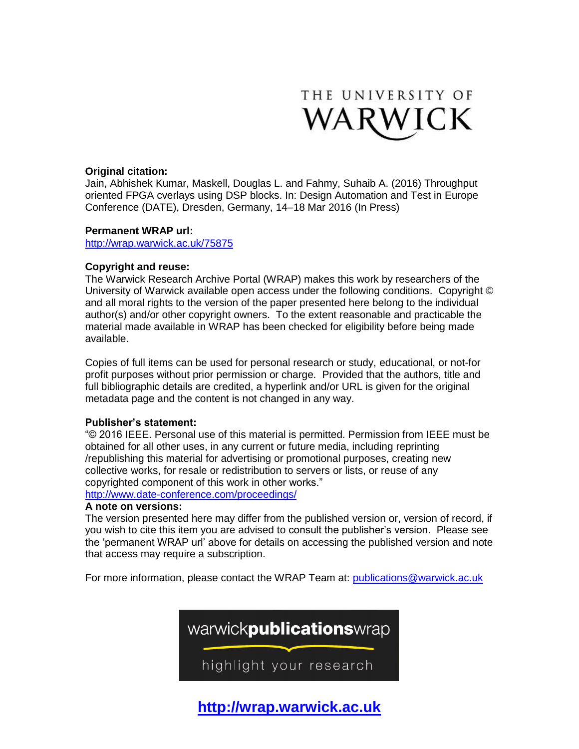

# **Original citation:**

Jain, Abhishek Kumar, Maskell, Douglas L. and Fahmy, Suhaib A. (2016) Throughput oriented FPGA cverlays using DSP blocks. In: Design Automation and Test in Europe Conference (DATE), Dresden, Germany, 14–18 Mar 2016 (In Press)

# **Permanent WRAP url:**

<http://wrap.warwick.ac.uk/75875>

# **Copyright and reuse:**

The Warwick Research Archive Portal (WRAP) makes this work by researchers of the University of Warwick available open access under the following conditions. Copyright © and all moral rights to the version of the paper presented here belong to the individual author(s) and/or other copyright owners. To the extent reasonable and practicable the material made available in WRAP has been checked for eligibility before being made available.

Copies of full items can be used for personal research or study, educational, or not-for profit purposes without prior permission or charge. Provided that the authors, title and full bibliographic details are credited, a hyperlink and/or URL is given for the original metadata page and the content is not changed in any way.

## **Publisher's statement:**

"© 2016 IEEE. Personal use of this material is permitted. Permission from IEEE must be obtained for all other uses, in any current or future media, including reprinting /republishing this material for advertising or promotional purposes, creating new collective works, for resale or redistribution to servers or lists, or reuse of any copyrighted component of this work in other works." <http://www.date-conference.com/proceedings/>

## **A note on versions:**

The version presented here may differ from the published version or, version of record, if you wish to cite this item you are advised to consult the publisher's version. Please see the 'permanent WRAP url' above for details on accessing the published version and note that access may require a subscription.

For more information, please contact the WRAP Team at: [publications@warwick.ac.uk](mailto:publications@warwick.ac.uk)



**[http://wrap.warwick.ac.uk](http://wrap.warwick.ac.uk/)**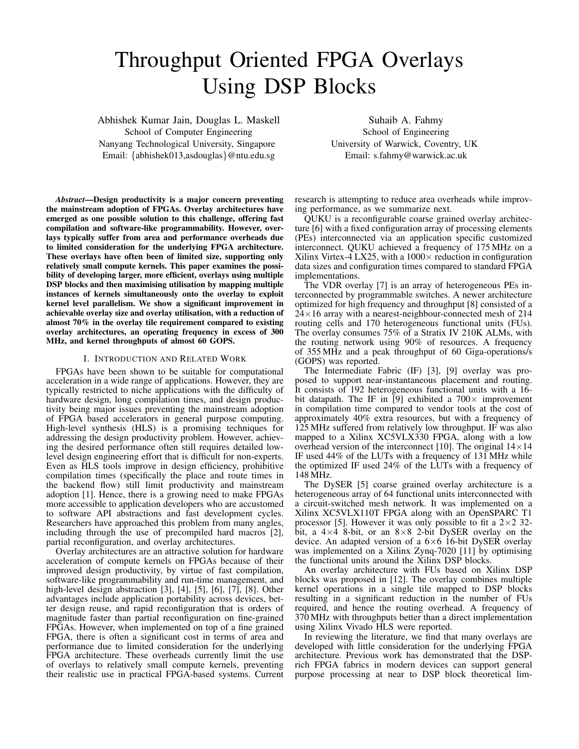# Throughput Oriented FPGA Overlays Using DSP Blocks

Abhishek Kumar Jain, Douglas L. Maskell School of Computer Engineering Nanyang Technological University, Singapore Email: {abhishek013,asdouglas}@ntu.edu.sg

Suhaib A. Fahmy School of Engineering University of Warwick, Coventry, UK Email: s.fahmy@warwick.ac.uk

*Abstract*—Design productivity is a major concern preventing the mainstream adoption of FPGAs. Overlay architectures have emerged as one possible solution to this challenge, offering fast compilation and software-like programmability. However, overlays typically suffer from area and performance overheads due to limited consideration for the underlying FPGA architecture. These overlays have often been of limited size, supporting only relatively small compute kernels. This paper examines the possibility of developing larger, more efficient, overlays using multiple DSP blocks and then maximising utilisation by mapping multiple instances of kernels simultaneously onto the overlay to exploit kernel level parallelism. We show a significant improvement in achievable overlay size and overlay utilisation, with a reduction of almost 70% in the overlay tile requirement compared to existing overlay architectures, an operating frequency in excess of 300 MHz, and kernel throughputs of almost 60 GOPS.

#### I. INTRODUCTION AND RELATED WORK

FPGAs have been shown to be suitable for computational acceleration in a wide range of applications. However, they are typically restricted to niche applications with the difficulty of hardware design, long compilation times, and design productivity being major issues preventing the mainstream adoption of FPGA based accelerators in general purpose computing. High-level synthesis (HLS) is a promising techniques for addressing the design productivity problem. However, achieving the desired performance often still requires detailed lowlevel design engineering effort that is difficult for non-experts. Even as HLS tools improve in design efficiency, prohibitive compilation times (specifically the place and route times in the backend flow) still limit productivity and mainstream adoption [1]. Hence, there is a growing need to make FPGAs more accessible to application developers who are accustomed to software API abstractions and fast development cycles. Researchers have approached this problem from many angles, including through the use of precompiled hard macros [2], partial reconfiguration, and overlay architectures.

Overlay architectures are an attractive solution for hardware acceleration of compute kernels on FPGAs because of their improved design productivity, by virtue of fast compilation, software-like programmability and run-time management, and high-level design abstraction [3], [4], [5], [6], [7], [8]. Other advantages include application portability across devices, better design reuse, and rapid reconfiguration that is orders of magnitude faster than partial reconfiguration on fine-grained FPGAs. However, when implemented on top of a fine grained FPGA, there is often a significant cost in terms of area and performance due to limited consideration for the underlying FPGA architecture. These overheads currently limit the use of overlays to relatively small compute kernels, preventing their realistic use in practical FPGA-based systems. Current

research is attempting to reduce area overheads while improving performance, as we summarize next.

QUKU is a reconfigurable coarse grained overlay architecture [6] with a fixed configuration array of processing elements (PEs) interconnected via an application specific customized interconnect. QUKU achieved a frequency of 175 MHz on a Xilinx Virtex-4 LX25, with a  $1000 \times$  reduction in configuration data sizes and configuration times compared to standard FPGA implementations.

The VDR overlay [7] is an array of heterogeneous PEs interconnected by programmable switches. A newer architecture optimized for high frequency and throughput [8] consisted of a  $24\times16$  array with a nearest-neighbour-connected mesh of 214 routing cells and 170 heterogeneous functional units (FUs). The overlay consumes 75% of a Stratix IV 210K ALMs, with the routing network using 90% of resources. A frequency of 355 MHz and a peak throughput of 60 Giga-operations/s (GOPS) was reported.

The Intermediate Fabric (IF) [3], [9] overlay was proposed to support near-instantaneous placement and routing. It consists of 192 heterogeneous functional units with a 16 bit datapath. The IF in [9] exhibited a  $700\times$  improvement in compilation time compared to vendor tools at the cost of approximately 40% extra resources, but with a frequency of 125 MHz suffered from relatively low throughput. IF was also mapped to a Xilinx XC5VLX330 FPGA, along with a low overhead version of the interconnect [10]. The original  $14\times14$ IF used 44% of the LUTs with a frequency of 131 MHz while the optimized IF used 24% of the LUTs with a frequency of 148 MHz.

The DySER [5] coarse grained overlay architecture is a heterogeneous array of 64 functional units interconnected with a circuit-switched mesh network. It was implemented on a Xilinx XC5VLX110T FPGA along with an OpenSPARC T1 processor [5]. However it was only possible to fit a  $2\times2$  32bit, a  $4\times4$  8-bit, or an  $8\times8$  2-bit DySER overlay on the device. An adapted version of a  $6\times6$  16-bit DySER overlay was implemented on a Xilinx Zynq-7020 [11] by optimising the functional units around the Xilinx DSP blocks.

An overlay architecture with FUs based on Xilinx DSP blocks was proposed in [12]. The overlay combines multiple kernel operations in a single tile mapped to DSP blocks resulting in a significant reduction in the number of FUs required, and hence the routing overhead. A frequency of 370 MHz with throughputs better than a direct implementation using Xilinx Vivado HLS were reported.

In reviewing the literature, we find that many overlays are developed with little consideration for the underlying FPGA architecture. Previous work has demonstrated that the DSPrich FPGA fabrics in modern devices can support general purpose processing at near to DSP block theoretical lim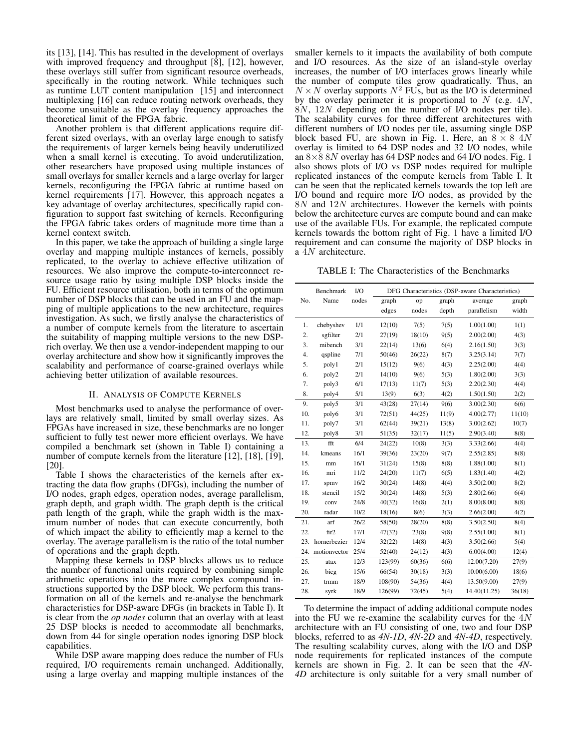its [13], [14]. This has resulted in the development of overlays with improved frequency and throughput [8], [12], however, these overlays still suffer from significant resource overheads, specifically in the routing network. While techniques such as runtime LUT content manipulation [15] and interconnect multiplexing [16] can reduce routing network overheads, they become unsuitable as the overlay frequency approaches the theoretical limit of the FPGA fabric.

Another problem is that different applications require different sized overlays, with an overlay large enough to satisfy the requirements of larger kernels being heavily underutilized when a small kernel is executing. To avoid underutilization, other researchers have proposed using multiple instances of small overlays for smaller kernels and a large overlay for larger kernels, reconfiguring the FPGA fabric at runtime based on kernel requirements [17]. However, this approach negates a key advantage of overlay architectures, specifically rapid configuration to support fast switching of kernels. Reconfiguring the FPGA fabric takes orders of magnitude more time than a kernel context switch.

In this paper, we take the approach of building a single large overlay and mapping multiple instances of kernels, possibly replicated, to the overlay to achieve effective utilization of resources. We also improve the compute-to-interconnect resource usage ratio by using multiple DSP blocks inside the FU. Efficient resource utilisation, both in terms of the optimum number of DSP blocks that can be used in an FU and the mapping of multiple applications to the new architecture, requires investigation. As such, we firstly analyse the characteristics of a number of compute kernels from the literature to ascertain the suitability of mapping multiple versions to the new DSPrich overlay. We then use a vendor-independent mapping to our overlay architecture and show how it significantly improves the scalability and performance of coarse-grained overlays while achieving better utilization of available resources.

## II. ANALYSIS OF COMPUTE KERNELS

Most benchmarks used to analyse the performance of overlays are relatively small, limited by small overlay sizes. As FPGAs have increased in size, these benchmarks are no longer sufficient to fully test newer more efficient overlays. We have compiled a benchmark set (shown in Table I) containing a number of compute kernels from the literature [12], [18], [19], [20].

Table I shows the characteristics of the kernels after extracting the data flow graphs (DFGs), including the number of I/O nodes, graph edges, operation nodes, average parallelism, graph depth, and graph width. The graph depth is the critical path length of the graph, while the graph width is the maximum number of nodes that can execute concurrently, both of which impact the ability to efficiently map a kernel to the overlay. The average parallelism is the ratio of the total number of operations and the graph depth.

Mapping these kernels to DSP blocks allows us to reduce the number of functional units required by combining simple arithmetic operations into the more complex compound instructions supported by the DSP block. We perform this transformation on all of the kernels and re-analyse the benchmark characteristics for DSP-aware DFGs (in brackets in Table I). It is clear from the *op nodes* column that an overlay with at least 25 DSP blocks is needed to accommodate all benchmarks, down from 44 for single operation nodes ignoring DSP block capabilities.

While DSP aware mapping does reduce the number of FUs required, I/O requirements remain unchanged. Additionally, using a large overlay and mapping multiple instances of the smaller kernels to it impacts the availability of both compute and I/O resources. As the size of an island-style overlay increases, the number of I/O interfaces grows linearly while the number of compute tiles grow quadratically. Thus, an  $N \times N$  overlay supports  $N^2$  FUs, but as the I/O is determined by the overlay perimeter it is proportional to  $N$  (e.g.  $4N$ , 8N, 12N depending on the number of I/O nodes per tile). The scalability curves for three different architectures with different numbers of I/O nodes per tile, assuming single DSP block based FU, are shown in Fig. 1. Here, an  $8 \times 8$  4N overlay is limited to 64 DSP nodes and 32 I/O nodes, while an  $8\times88N$  overlay has 64 DSP nodes and 64 I/O nodes. Fig. 1 also shows plots of I/O vs DSP nodes required for multiple replicated instances of the compute kernels from Table I. It can be seen that the replicated kernels towards the top left are I/O bound and require more I/O nodes, as provided by the 8N and 12N architectures. However the kernels with points below the architecture curves are compute bound and can make use of the available FUs. For example, the replicated compute kernels towards the bottom right of Fig. 1 have a limited I/O requirement and can consume the majority of DSP blocks in a  $\overline{4}N$  architecture.

TABLE I: The Characteristics of the Benchmarks

|                  | Benchmark    | $1/O$ | DFG Characteristics (DSP-aware Characteristics) |        |       |              |        |
|------------------|--------------|-------|-------------------------------------------------|--------|-------|--------------|--------|
| No.              | Name         | nodes | graph                                           | op     | graph | average      | graph  |
|                  |              |       | edges                                           | nodes  | depth | parallelism  | width  |
| 1.               | chebyshev    | 1/1   | 12(10)                                          | 7(5)   | 7(5)  | 1.00(1.00)   | 1(1)   |
| 2.               | sgfilter     | 2/1   | 27(19)                                          | 18(10) | 9(5)  | 2.00(2.00)   | 4(3)   |
| 3.               | mibench      | 3/1   | 22(14)                                          | 13(6)  | 6(4)  | 2.16(1.50)   | 3(3)   |
| $\overline{4}$ . | qspline      | 7/1   | 50(46)                                          | 26(22) | 8(7)  | 3.25(3.14)   | 7(7)   |
| 5.               | poly1        | 2/1   | 15(12)                                          | 9(6)   | 4(3)  | 2.25(2.00)   | 4(4)   |
| 6.               | poly2        | 2/1   | 14(10)                                          | 9(6)   | 5(3)  | 1.80(2.00)   | 3(3)   |
| 7.               | poly3        | 6/1   | 17(13)                                          | 11(7)  | 5(3)  | 2.20(2.30)   | 4(4)   |
| 8.               | poly4        | 5/1   | 13(9)                                           | 6(3)   | 4(2)  | 1.50(1.50)   | 2(2)   |
| 9.               | poly5        | 3/1   | 43(28)                                          | 27(14) | 9(6)  | 3.00(2.30)   | 6(6)   |
| 10.              | poly6        | 3/1   | 72(51)                                          | 44(25) | 11(9) | 4.00(2.77)   | 11(10) |
| 11.              | poly7        | 3/1   | 62(44)                                          | 39(21) | 13(8) | 3.00(2.62)   | 10(7)  |
| 12.              | poly8        | 3/1   | 51(35)                                          | 32(17) | 11(5) | 2.90(3.40)   | 8(8)   |
| 13.              | fft          | 6/4   | 24(22)                                          | 10(8)  | 3(3)  | 3.33(2.66)   | 4(4)   |
| 14.              | kmeans       | 16/1  | 39(36)                                          | 23(20) | 9(7)  | 2.55(2.85)   | 8(8)   |
| 15.              | mm           | 16/1  | 31(24)                                          | 15(8)  | 8(8)  | 1.88(1.00)   | 8(1)   |
| 16.              | mri          | 11/2  | 24(20)                                          | 11(7)  | 6(5)  | 1.83(1.40)   | 4(2)   |
| 17.              | spmv         | 16/2  | 30(24)                                          | 14(8)  | 4(4)  | 3.50(2.00)   | 8(2)   |
| 18.              | stencil      | 15/2  | 30(24)                                          | 14(8)  | 5(3)  | 2.80(2.66)   | 6(4)   |
| 19.              | conv         | 24/8  | 40(32)                                          | 16(8)  | 2(1)  | 8.00(8.00)   | 8(8)   |
| 20.              | radar        | 10/2  | 18(16)                                          | 8(6)   | 3(3)  | 2.66(2.00)   | 4(2)   |
| 21.              | arf          | 26/2  | 58(50)                                          | 28(20) | 8(8)  | 3.50(2.50)   | 8(4)   |
| 22.              | fir2         | 17/1  | 47(32)                                          | 23(8)  | 9(8)  | 2.55(1.00)   | 8(1)   |
| 23.              | hornerbezier | 12/4  | 32(22)                                          | 14(8)  | 4(3)  | 3.50(2.66)   | 5(4)   |
| 24.              | motionvector | 25/4  | 52(40)                                          | 24(12) | 4(3)  | 6.00(4.00)   | 12(4)  |
| 25.              | atax         | 12/3  | 123(99)                                         | 60(36) | 6(6)  | 12.00(7.20)  | 27(9)  |
| 26.              | bicg         | 15/6  | 66(54)                                          | 30(18) | 3(3)  | 10.00(6.00)  | 18(6)  |
| 27.              | trmm         | 18/9  | 108(90)                                         | 54(36) | 4(4)  | 13.50(9.00)  | 27(9)  |
| 28.              | syrk         | 18/9  | 126(99)                                         | 72(45) | 5(4)  | 14.40(11.25) | 36(18) |

To determine the impact of adding additional compute nodes into the FU we re-examine the scalability curves for the  $4N$ architecture with an FU consisting of one, two and four DSP blocks, referred to as *4N-1D*, *4N-2D* and *4N-4D*, respectively. The resulting scalability curves, along with the I/O and DSP node requirements for replicated instances of the compute kernels are shown in Fig. 2. It can be seen that the *4N-4D* architecture is only suitable for a very small number of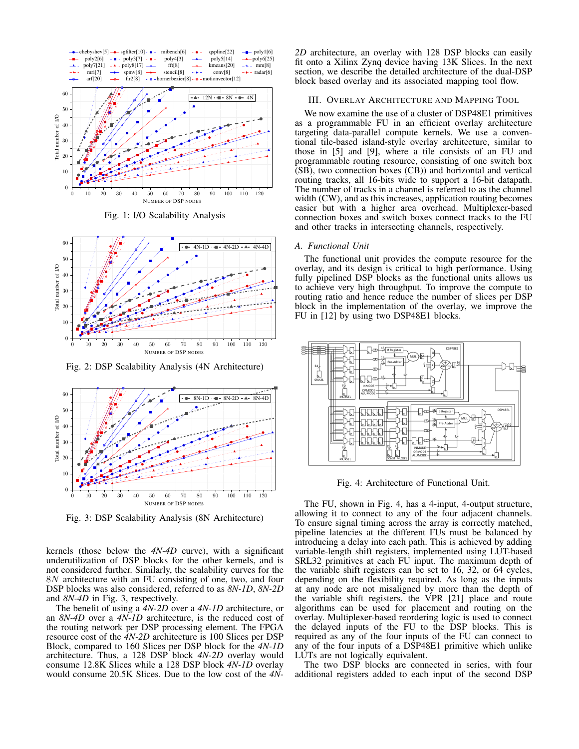

Fig. 1: I/O Scalability Analysis



Fig. 2: DSP Scalability Analysis (4N Architecture)



Fig. 3: DSP Scalability Analysis (8N Architecture)

kernels (those below the *4N-4D* curve), with a significant underutilization of DSP blocks for the other kernels, and is not considered further. Similarly, the scalability curves for the 8N architecture with an FU consisting of one, two, and four DSP blocks was also considered, referred to as *8N-1D*, *8N-2D* and *8N-4D* in Fig. 3, respectively.

The benefit of using a *4N-2D* over a *4N-1D* architecture, or an *8N-4D* over a *4N-1D* architecture, is the reduced cost of the routing network per DSP processing element. The FPGA resource cost of the *4N-2D* architecture is 100 Slices per DSP Block, compared to 160 Slices per DSP block for the *4N-1D* architecture. Thus, a 128 DSP block *4N-2D* overlay would consume 12.8K Slices while a 128 DSP block *4N-1D* overlay would consume 20.5K Slices. Due to the low cost of the *4N-*

*2D* architecture, an overlay with 128 DSP blocks can easily fit onto a Xilinx Zynq device having 13K Slices. In the next section, we describe the detailed architecture of the dual-DSP block based overlay and its associated mapping tool flow.

#### III. OVERLAY ARCHITECTURE AND MAPPING TOOL

We now examine the use of a cluster of DSP48E1 primitives as a programmable FU in an efficient overlay architecture targeting data-parallel compute kernels. We use a conventional tile-based island-style overlay architecture, similar to those in [5] and [9], where a tile consists of an FU and programmable routing resource, consisting of one switch box (SB), two connection boxes (CB)) and horizontal and vertical routing tracks, all 16-bits wide to support a 16-bit datapath. The number of tracks in a channel is referred to as the channel width (CW), and as this increases, application routing becomes easier but with a higher area overhead. Multiplexer-based connection boxes and switch boxes connect tracks to the FU and other tracks in intersecting channels, respectively.

#### *A. Functional Unit*

The functional unit provides the compute resource for the overlay, and its design is critical to high performance. Using fully pipelined DSP blocks as the functional units allows us to achieve very high throughput. To improve the compute to routing ratio and hence reduce the number of slices per DSP block in the implementation of the overlay, we improve the FU in [12] by using two DSP48E1 blocks.



Fig. 4: Architecture of Functional Unit.

The FU, shown in Fig. 4, has a 4-input, 4-output structure, allowing it to connect to any of the four adjacent channels. To ensure signal timing across the array is correctly matched, pipeline latencies at the different FUs must be balanced by introducing a delay into each path. This is achieved by adding variable-length shift registers, implemented using LUT-based SRL32 primitives at each FU input. The maximum depth of the variable shift registers can be set to 16, 32, or 64 cycles, depending on the flexibility required. As long as the inputs at any node are not misaligned by more than the depth of the variable shift registers, the VPR [21] place and route algorithms can be used for placement and routing on the overlay. Multiplexer-based reordering logic is used to connect the delayed inputs of the FU to the DSP blocks. This is required as any of the four inputs of the FU can connect to any of the four inputs of a DSP48E1 primitive which unlike LUTs are not logically equivalent.

The two DSP blocks are connected in series, with four additional registers added to each input of the second DSP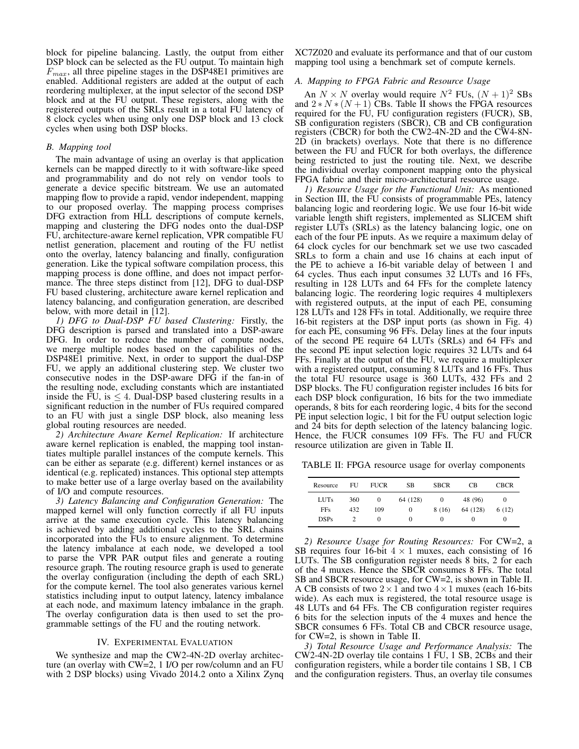block for pipeline balancing. Lastly, the output from either DSP block can be selected as the FU output. To maintain high  $F_{max}$ , all three pipeline stages in the DSP48E1 primitives are enabled. Additional registers are added at the output of each reordering multiplexer, at the input selector of the second DSP block and at the FU output. These registers, along with the registered outputs of the SRLs result in a total FU latency of 8 clock cycles when using only one DSP block and 13 clock cycles when using both DSP blocks.

## *B. Mapping tool*

The main advantage of using an overlay is that application kernels can be mapped directly to it with software-like speed and programmability and do not rely on vendor tools to generate a device specific bitstream. We use an automated mapping flow to provide a rapid, vendor independent, mapping to our proposed overlay. The mapping process comprises DFG extraction from HLL descriptions of compute kernels, mapping and clustering the DFG nodes onto the dual-DSP FU, architecture-aware kernel replication, VPR compatible FU netlist generation, placement and routing of the FU netlist onto the overlay, latency balancing and finally, configuration generation. Like the typical software compilation process, this mapping process is done offline, and does not impact performance. The three steps distinct from [12], DFG to dual-DSP FU based clustering, architecture aware kernel replication and latency balancing, and configuration generation, are described below, with more detail in [12].

*1) DFG to Dual-DSP FU based Clustering:* Firstly, the DFG description is parsed and translated into a DSP-aware DFG. In order to reduce the number of compute nodes, we merge multiple nodes based on the capabilities of the DSP48E1 primitive. Next, in order to support the dual-DSP FU, we apply an additional clustering step. We cluster two consecutive nodes in the DSP-aware DFG if the fan-in of the resulting node, excluding constants which are instantiated inside the FU, is  $\leq 4$ . Dual-DSP based clustering results in a significant reduction in the number of FUs required compared to an FU with just a single DSP block, also meaning less global routing resources are needed.

*2) Architecture Aware Kernel Replication:* If architecture aware kernel replication is enabled, the mapping tool instantiates multiple parallel instances of the compute kernels. This can be either as separate (e.g. different) kernel instances or as identical (e.g. replicated) instances. This optional step attempts to make better use of a large overlay based on the availability of I/O and compute resources.

*3) Latency Balancing and Configuration Generation:* The mapped kernel will only function correctly if all FU inputs arrive at the same execution cycle. This latency balancing is achieved by adding additional cycles to the SRL chains incorporated into the FUs to ensure alignment. To determine the latency imbalance at each node, we developed a tool to parse the VPR PAR output files and generate a routing resource graph. The routing resource graph is used to generate the overlay configuration (including the depth of each SRL) for the compute kernel. The tool also generates various kernel statistics including input to output latency, latency imbalance at each node, and maximum latency imbalance in the graph. The overlay configuration data is then used to set the programmable settings of the FU and the routing network.

#### IV. EXPERIMENTAL EVALUATION

We synthesize and map the CW2-4N-2D overlay architecture (an overlay with CW=2, 1 I/O per row/column and an FU with 2 DSP blocks) using Vivado 2014.2 onto a Xilinx Zynq XC7Z020 and evaluate its performance and that of our custom mapping tool using a benchmark set of compute kernels.

#### *A. Mapping to FPGA Fabric and Resource Usage*

An  $N \times N$  overlay would require  $N^2$  FUs,  $(N+1)^2$  SBs and  $2*N*(N+1)$  CBs. Table II shows the FPGA resources required for the FU, FU configuration registers (FUCR), SB, SB configuration registers (SBCR), CB and CB configuration registers (CBCR) for both the CW2-4N-2D and the CW4-8N-2D (in brackets) overlays. Note that there is no difference between the FU and FUCR for both overlays, the difference being restricted to just the routing tile. Next, we describe the individual overlay component mapping onto the physical FPGA fabric and their micro-architectural resource usage.

*1) Resource Usage for the Functional Unit:* As mentioned in Section III, the FU consists of programmable PEs, latency balancing logic and reordering logic. We use four 16-bit wide variable length shift registers, implemented as SLICEM shift register LUTs (SRLs) as the latency balancing logic, one on each of the four PE inputs. As we require a maximum delay of 64 clock cycles for our benchmark set we use two cascaded SRLs to form a chain and use 16 chains at each input of the PE to achieve a 16-bit variable delay of between 1 and 64 cycles. Thus each input consumes 32 LUTs and 16 FFs, resulting in 128 LUTs and 64 FFs for the complete latency balancing logic. The reordering logic requires 4 multiplexers with registered outputs, at the input of each PE, consuming 128 LUTs and 128 FFs in total. Additionally, we require three 16-bit registers at the DSP input ports (as shown in Fig. 4) for each PE, consuming 96 FFs. Delay lines at the four inputs of the second PE require 64 LUTs (SRLs) and 64 FFs and the second PE input selection logic requires 32 LUTs and 64 FFs. Finally at the output of the FU, we require a multiplexer with a registered output, consuming 8 LUTs and 16 FFs. Thus the total FU resource usage is 360 LUTs, 432 FFs and 2 DSP blocks. The FU configuration register includes 16 bits for each DSP block configuration, 16 bits for the two immediate operands, 8 bits for each reordering logic, 4 bits for the second PE input selection logic, 1 bit for the FU output selection logic and 24 bits for depth selection of the latency balancing logic. Hence, the FUCR consumes 109 FFs. The FU and FUCR resource utilization are given in Table II.

TABLE II: FPGA resource usage for overlay components

| Resource    | FU  | <b>FUCR</b> | SB.      | <b>SBCR</b> | CВ       | <b>CBCR</b> |
|-------------|-----|-------------|----------|-------------|----------|-------------|
| <b>LUTs</b> | 360 | $\Omega$    | 64 (128) | 0           | 48 (96)  | 0           |
| <b>FFs</b>  | 432 | 109         | $\Omega$ | 8(16)       | 64 (128) | 6 (12)      |
| <b>DSPs</b> |     | $\Omega$    | $\Omega$ | $_{0}$      | $\theta$ | $\theta$    |

*2) Resource Usage for Routing Resources:* For CW=2, a SB requires four 16-bit  $4 \times 1$  muxes, each consisting of 16 LUTs. The SB configuration register needs 8 bits, 2 for each of the 4 muxes. Hence the SBCR consumes 8 FFs. The total SB and SBCR resource usage, for CW=2, is shown in Table II. A CB consists of two  $2 \times 1$  and two  $4 \times 1$  muxes (each 16-bits wide). As each mux is registered, the total resource usage is 48 LUTs and 64 FFs. The CB configuration register requires 6 bits for the selection inputs of the 4 muxes and hence the SBCR consumes 6 FFs. Total CB and CBCR resource usage, for CW=2, is shown in Table II.

*3) Total Resource Usage and Performance Analysis:* The CW2-4N-2D overlay tile contains 1 FU, 1 SB, 2CBs and their configuration registers, while a border tile contains 1 SB, 1 CB and the configuration registers. Thus, an overlay tile consumes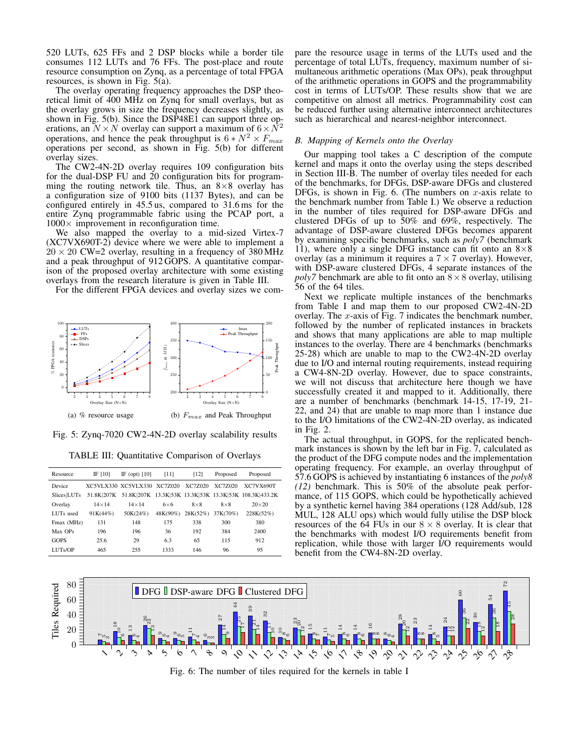520 LUTs, 625 FFs and 2 DSP blocks while a border tile consumes 112 LUTs and 76 FFs. The post-place and route resource consumption on Zynq, as a percentage of total FPGA resources, is shown in Fig. 5(a).

The overlay operating frequency approaches the DSP theoretical limit of 400 MHz on Zynq for small overlays, but as the overlay grows in size the frequency decreases slightly, as shown in Fig. 5(b). Since the DSP48E1 can support three operations, an  $N \times N$  overlay can support a maximum of  $6 \times N^2$ operations, and hence the peak throughput is  $6 * N^2 \times F_{max}$ operations per second, as shown in Fig. 5(b) for different overlay sizes.

The CW2-4N-2D overlay requires 109 configuration bits for the dual-DSP FU and 20 configuration bits for programming the routing network tile. Thus, an  $8 \times 8$  overlay has a configuration size of 9100 bits (1137 Bytes), and can be configured entirely in 45.5 us, compared to 31.6 ms for the entire Zynq programmable fabric using the PCAP port, a  $1000\times$  improvement in reconfiguration time.

We also mapped the overlay to a mid-sized Virtex-7 (XC7VX690T-2) device where we were able to implement a  $20 \times 20$  CW=2 overlay, resulting in a frequency of 380 MHz and a peak throughput of 912 GOPS. A quantitative comparison of the proposed overlay architecture with some existing overlays from the research literature is given in Table III.

For the different FPGA devices and overlay sizes we com-



Fig. 5: Zynq-7020 CW2-4N-2D overlay scalability results

TABLE III: Quantitative Comparison of Overlays

| Resource           | IF [10]      | IF (opt) $[10]$             | [11]        | $[12]$     | Proposed     | Proposed                                                          |
|--------------------|--------------|-----------------------------|-------------|------------|--------------|-------------------------------------------------------------------|
| Device             |              | XC5VLX330 XC5VLX330 XC7Z020 |             | XC77020    | XC77020      | <b>XC7VX690T</b>                                                  |
| <b>Slices LUTs</b> |              |                             |             |            |              | 51.8K 207K 51.8K 207K 13.3K 53K 13.3K 53K 13.3K 53K 108.3K 433.2K |
| Overlay            | $14\times14$ | $14\times14$                | $6\times 6$ | $8\times8$ | $8 \times 8$ | $20\times20$                                                      |
| LUTs used          | 91K(44%)     | 50K(24%)                    | 48K(90%)    | 28K(52%)   | 37K(70%)     | 228K(52%)                                                         |
| Fmax (MHz)         | 131          | 148                         | 175         | 338        | 300          | 380                                                               |
| Max OPs            | 196          | 196                         | 36          | 192        | 384          | 2400                                                              |
| GOPS               | 25.6         | 29                          | 6.3         | 65         | 115          | 912                                                               |
| LUTs/OP            | 465          | 255                         | 1333        | 146        | 96           | 95                                                                |

pare the resource usage in terms of the LUTs used and the percentage of total LUTs, frequency, maximum number of simultaneous arithmetic operations (Max OPs), peak throughput of the arithmetic operations in GOPS and the programmability cost in terms of LUTs/OP. These results show that we are competitive on almost all metrics. Programmability cost can be reduced further using alternative interconnect architectures such as hierarchical and nearest-neighbor interconnect.

#### *B. Mapping of Kernels onto the Overlay*

Our mapping tool takes a C description of the compute kernel and maps it onto the overlay using the steps described in Section III-B. The number of overlay tiles needed for each of the benchmarks, for DFGs, DSP-aware DFGs and clustered DFGs, is shown in Fig. 6. (The numbers on  $x$ -axis relate to the benchmark number from Table I.) We observe a reduction in the number of tiles required for DSP-aware DFGs and clustered DFGs of up to 50% and 69%, respectively. The advantage of DSP-aware clustered DFGs becomes apparent by examining specific benchmarks, such as *poly7* (benchmark 11), where only a single DFG instance can fit onto an  $8\times8$ overlay (as a minimum it requires a  $7 \times 7$  overlay). However, with DSP-aware clustered DFGs, 4 separate instances of the *poly7* benchmark are able to fit onto an  $8 \times 8$  overlay, utilising 56 of the 64 tiles.

Next we replicate multiple instances of the benchmarks from Table I and map them to our proposed CW2-4N-2D overlay. The  $x$ -axis of Fig. 7 indicates the benchmark number, followed by the number of replicated instances in brackets and shows that many applications are able to map multiple instances to the overlay. There are 4 benchmarks (benchmarks 25-28) which are unable to map to the CW2-4N-2D overlay due to I/O and internal routing requirements, instead requiring a CW4-8N-2D overlay. However, due to space constraints, we will not discuss that architecture here though we have successfully created it and mapped to it. Additionally, there are a number of benchmarks (benchmark 14-15, 17-19, 21- 22, and 24) that are unable to map more than 1 instance due to the I/O limitations of the CW2-4N-2D overlay, as indicated in Fig. 2.

The actual throughput, in GOPS, for the replicated benchmark instances is shown by the left bar in Fig. 7, calculated as the product of the DFG compute nodes and the implementation operating frequency. For example, an overlay throughput of 57.6 GOPS is achieved by instantiating 6 instances of the *poly8 (12)* benchmark. This is 50% of the absolute peak performance, of 115 GOPS, which could be hypothetically achieved by a synthetic kernel having 384 operations (128 Add/sub, 128 MUL, 128 ALU ops) which would fully utilise the DSP block resources of the 64 FUs in our  $8 \times 8$  overlay. It is clear that the benchmarks with modest I/O requirements benefit from replication, while those with larger I/O requirements would benefit from the CW4-8N-2D overlay.



Fig. 6: The number of tiles required for the kernels in table I